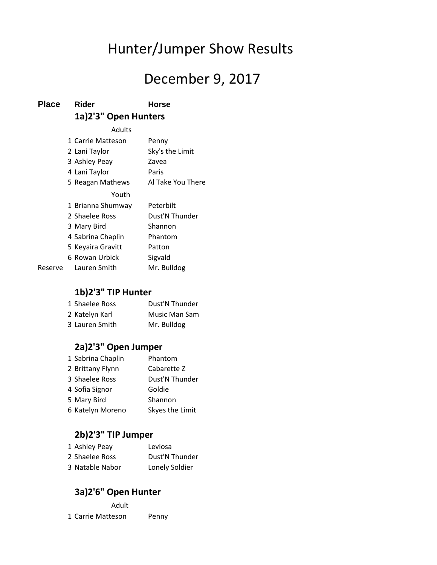# Hunter/Jumper Show Results

## December 9, 2017

#### **Place Rider Horse 1a)2'3" Open Hunters**

Adults 1 Carrie Matteson Penny 2 Lani Taylor Sky's the Limit 3 Ashley Peay Zavea 4 Lani Taylor Paris 5 Reagan Mathews Al Take You There Youth 1 Brianna Shumway Peterbilt 2 Shaelee Ross Dust'N Thunder 3 Mary Bird Shannon 4 Sabrina Chaplin Phantom 5 Keyaira Gravitt Patton 6 Rowan Urbick Sigvald Reserve Lauren Smith Mr. Bulldog

### **1b)2'3" TIP Hunter**

| 1 Shaelee Ross | Dust'N Thunder |
|----------------|----------------|
| 2 Katelyn Karl | Music Man Sam  |
| 3 Lauren Smith | Mr. Bulldog    |

#### **2a)2'3" Open Jumper**

| 1 Sabrina Chaplin | Phantom         |
|-------------------|-----------------|
| 2 Brittany Flynn  | Cabarette Z     |
| 3 Shaelee Ross    | Dust'N Thunder  |
| 4 Sofia Signor    | Goldie          |
| 5 Mary Bird       | Shannon         |
| 6 Katelyn Moreno  | Skyes the Limit |

#### **2b)2'3" TIP Jumper**

| 1 Ashley Peay   | Leviosa        |
|-----------------|----------------|
| 2 Shaelee Ross  | Dust'N Thunder |
| 3 Natable Nabor | Lonely Soldier |

#### **3a)2'6" Open Hunter**

Adult 1 Carrie Matteson Penny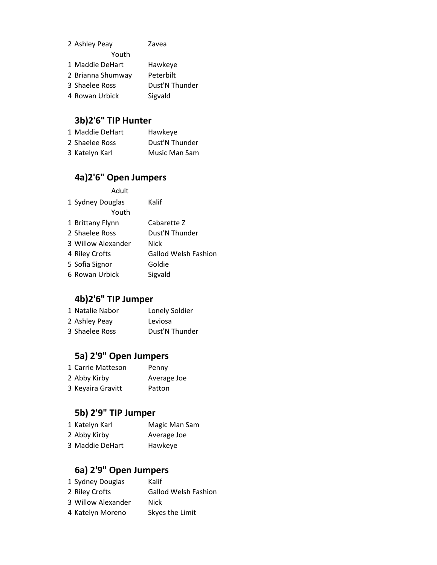| 2 Ashley Peay     | Zavea          |
|-------------------|----------------|
| Youth             |                |
| 1 Maddie DeHart   | Hawkeye        |
| 2 Brianna Shumway | Peterbilt      |
| 3 Shaelee Ross    | Dust'N Thunder |
| 4 Rowan Urbick    | Sigvald        |

## **3b)2'6" TIP Hunter**

| 1 Maddie DeHart | Hawkeye        |
|-----------------|----------------|
| 2 Shaelee Ross  | Dust'N Thunder |
| 3 Katelyn Karl  | Music Man Sam  |

### **4a)2'6" Open Jumpers**

| Adult              |                             |
|--------------------|-----------------------------|
| 1 Sydney Douglas   | Kalif                       |
| Youth              |                             |
| 1 Brittany Flynn   | Cabarette Z                 |
| 2 Shaelee Ross     | Dust'N Thunder              |
| 3 Willow Alexander | Nick                        |
| 4 Riley Crofts     | <b>Gallod Welsh Fashion</b> |
| 5 Sofia Signor     | Goldie                      |
| 6 Rowan Urbick     | Sigvald                     |

### **4b)2'6" TIP Jumper**

| 1 Natalie Nabor | Lonely Soldier |
|-----------------|----------------|
| 2 Ashley Peay   | Leviosa        |
| 3 Shaelee Ross  | Dust'N Thunder |

### **5a) 2'9" Open Jumpers**

| 1 Carrie Matteson | Penny       |
|-------------------|-------------|
| 2 Abby Kirby      | Average Joe |
| 3 Keyaira Gravitt | Patton      |

## **5b) 2'9" TIP Jumper**

| 1 Katelyn Karl  | Magic Man Sam |
|-----------------|---------------|
| 2 Abby Kirby    | Average Joe   |
| 3 Maddie DeHart | Hawkeye       |

### **6a) 2'9" Open Jumpers**

| 1 Sydney Douglas   | Kalif                       |
|--------------------|-----------------------------|
| 2 Riley Crofts     | <b>Gallod Welsh Fashion</b> |
| 3 Willow Alexander | <b>Nick</b>                 |
| 4 Katelyn Moreno   | Skyes the Limit             |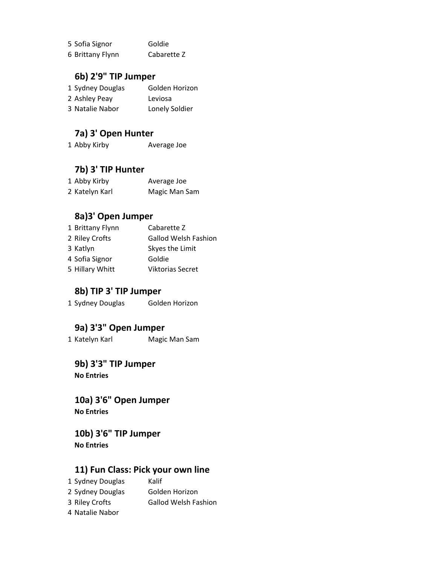| 5 Sofia Signor   | Goldie      |
|------------------|-------------|
| 6 Brittany Flynn | Cabarette Z |

#### **6b) 2'9" TIP Jumper**

| 1 Sydney Douglas | Golden Horizon |
|------------------|----------------|
| 2 Ashley Peay    | Leviosa        |
| 3 Natalie Nabor  | Lonely Soldier |

#### **7a) 3' Open Hunter**

1 Abby Kirby Average Joe

### **7b) 3' TIP Hunter**

| 1 Abby Kirby   | Average Joe   |
|----------------|---------------|
| 2 Katelyn Karl | Magic Man Sam |

#### **8a)3' Open Jumper**

| 1 Brittany Flynn | Cabarette Z                 |
|------------------|-----------------------------|
| 2 Riley Crofts   | <b>Gallod Welsh Fashion</b> |
| 3 Katlyn         | Skyes the Limit             |
| 4 Sofia Signor   | Goldie                      |
| 5 Hillary Whitt  | <b>Viktorias Secret</b>     |

#### **8b) TIP 3' TIP Jumper**

1 Sydney Douglas Golden Horizon

#### **9a) 3'3" Open Jumper**

1 Katelyn Karl Magic Man Sam

**9b) 3'3" TIP Jumper No Entries**

**10a) 3'6" Open Jumper No Entries**

**10b) 3'6" TIP Jumper No Entries**

#### **11) Fun Class: Pick your own line**

- 1 Sydney Douglas Kalif 2 Sydney Douglas Golden Horizon
- 3 Riley Crofts Gallod Welsh Fashion
- 4 Natalie Nabor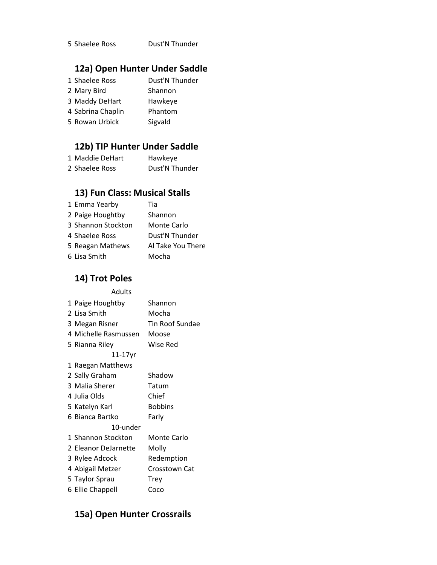Shaelee Ross Dust'N Thunder

### **12a) Open Hunter Under Saddle**

| 1 Shaelee Ross    | Dust'N Thunder |
|-------------------|----------------|
| 2 Mary Bird       | Shannon        |
| 3 Maddy DeHart    | Hawkeye        |
| 4 Sabrina Chaplin | Phantom        |
| 5 Rowan Urbick    | Sigvald        |

#### **12b) TIP Hunter Under Saddle**

| 1 Maddie DeHart | Hawkeye        |
|-----------------|----------------|
| 2 Shaelee Ross  | Dust'N Thunder |

#### **13) Fun Class: Musical Stalls**

| 1 Emma Yearby      | Tia               |
|--------------------|-------------------|
| 2 Paige Houghtby   | Shannon           |
| 3 Shannon Stockton | Monte Carlo       |
| 4 Shaelee Ross     | Dust'N Thunder    |
| 5 Reagan Mathews   | Al Take You There |
| 6 Lisa Smith       | Mocha             |

#### **14) Trot Poles**

| Adults               |                 |
|----------------------|-----------------|
| 1 Paige Houghtby     | Shannon         |
| 2 Lisa Smith         | Mocha           |
| 3 Megan Risner       | Tin Roof Sundae |
| 4 Michelle Rasmussen | Moose           |
| 5 Rianna Riley       | Wise Red        |
| 11-17yr              |                 |
| 1 Raegan Matthews    |                 |
| 2 Sally Graham       | Shadow          |
| 3 Malia Sherer       | Tatum           |
| 4 Julia Olds         | Chief           |
| 5 Katelyn Karl       | <b>Bobbins</b>  |
| 6 Bianca Bartko      | Farly           |
| 10-under             |                 |
| 1 Shannon Stockton   | Monte Carlo     |
| 2 Eleanor DeJarnette | Molly           |
| 3 Rylee Adcock       | Redemption      |
| 4 Abigail Metzer     | Crosstown Cat   |
| 5 Taylor Sprau       | Trey            |
| 6 Ellie Chappell     | Coco            |

#### **15a) Open Hunter Crossrails**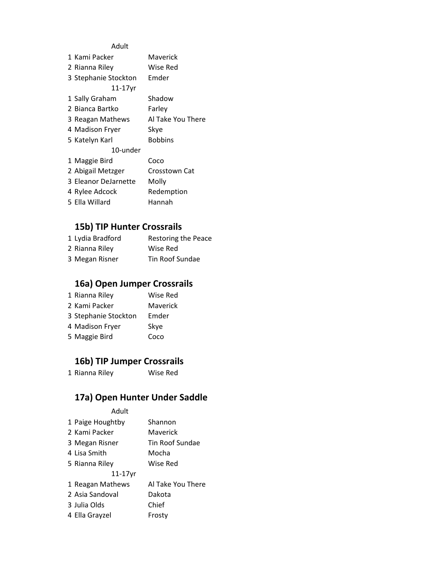#### Adult

| 1 Kami Packer        | Maverick          |
|----------------------|-------------------|
| 2 Rianna Riley       | Wise Red          |
| 3 Stephanie Stockton | Emder             |
| $11-17$ yr           |                   |
| 1 Sally Graham       | Shadow            |
| 2 Bianca Bartko      | Farley            |
| 3 Reagan Mathews     | Al Take You There |
| 4 Madison Fryer      | Skye              |
| 5 Katelyn Karl       | <b>Bobbins</b>    |
| 10-under             |                   |
| 1 Maggie Bird        | Coco              |
| 2 Abigail Metzger    | Crosstown Cat     |
| 3 Eleanor DeJarnette | Molly             |
| 4 Rylee Adcock       | Redemption        |
| 5 Flla Willard       | Hannah            |
|                      |                   |

#### **15b) TIP Hunter Crossrails**

| 1 Lydia Bradford | Restoring the Peace |
|------------------|---------------------|
| 2 Rianna Riley   | Wise Red            |
| 3 Megan Risner   | Tin Roof Sundae     |

### **16a) Open Jumper Crossrails**

| 1 Rianna Riley       | Wise Red |
|----------------------|----------|
| 2 Kami Packer        | Maverick |
| 3 Stephanie Stockton | Emder    |
| 4 Madison Fryer      | Skye     |
| 5 Maggie Bird        | Coco     |

#### **16b) TIP Jumper Crossrails**

Rianna Riley Wise Red

#### **17a) Open Hunter Under Saddle**

Adult

| 1 Paige Houghtby | Shannon           |
|------------------|-------------------|
| 2 Kami Packer    | Maverick          |
| 3 Megan Risner   | Tin Roof Sundae   |
| 4 Lisa Smith     | Mocha             |
| 5 Rianna Riley   | Wise Red          |
| $11-17$ yr       |                   |
| 1 Reagan Mathews | Al Take You There |
| 2 Asia Sandoval  | Dakota            |
| 3 Julia Olds     | Chief             |
| 4 Ella Grayzel   | Frosty            |
|                  |                   |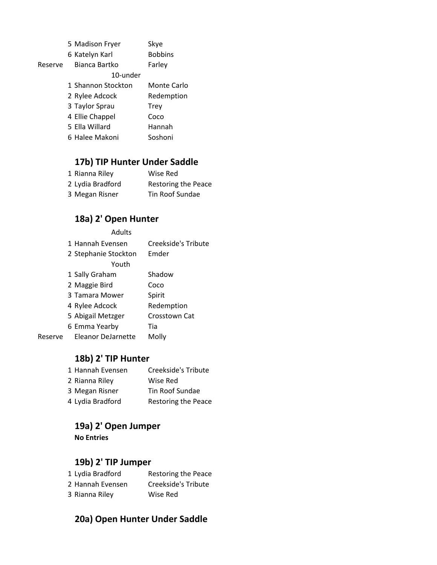|         | 5 Madison Fryer    | Skye           |
|---------|--------------------|----------------|
|         | 6 Katelyn Karl     | <b>Bobbins</b> |
| Reserve | Bianca Bartko      | Farley         |
|         | 10-under           |                |
|         | 1 Shannon Stockton | Monte Carlo    |
|         | 2 Rylee Adcock     | Redemption     |
|         | 3 Taylor Sprau     | <b>Trey</b>    |
|         | 4 Ellie Chappel    | Coco           |
|         | 5 Ella Willard     | Hannah         |
|         | 6 Halee Makoni     | Soshoni        |

#### **17b) TIP Hunter Under Saddle**

| 1 Rianna Riley   | Wise Red                   |
|------------------|----------------------------|
| 2 Lydia Bradford | <b>Restoring the Peace</b> |
| 3 Megan Risner   | Tin Roof Sundae            |

#### **18a) 2' Open Hunter**

|         | <b>Adults</b>             |                     |
|---------|---------------------------|---------------------|
|         | 1 Hannah Fvensen          | Creekside's Tribute |
|         | 2 Stephanie Stockton      | Emder               |
|         | Youth                     |                     |
|         | 1 Sally Graham            | Shadow              |
|         | 2 Maggie Bird             | Coco                |
|         | 3 Tamara Mower            | Spirit              |
|         | 4 Rylee Adcock            | Redemption          |
|         | 5 Abigail Metzger         | Crosstown Cat       |
|         | 6 Emma Yearby             | Tia                 |
| Reserve | <b>Eleanor DeJarnette</b> | Molly               |

#### **18b) 2' TIP Hunter**

| 1 Hannah Evensen | Creekside's Tribute |
|------------------|---------------------|
| 2 Rianna Riley   | Wise Red            |
| 3 Megan Risner   | Tin Roof Sundae     |
| 4 Lydia Bradford | Restoring the Peace |

#### **19a) 2' Open Jumper**

**No Entries**

#### **19b) 2' TIP Jumper**

| 1 Lydia Bradford | <b>Restoring the Peace</b> |
|------------------|----------------------------|
| 2 Hannah Evensen | Creekside's Tribute        |
| 3 Rianna Riley   | Wise Red                   |

#### **20a) Open Hunter Under Saddle**